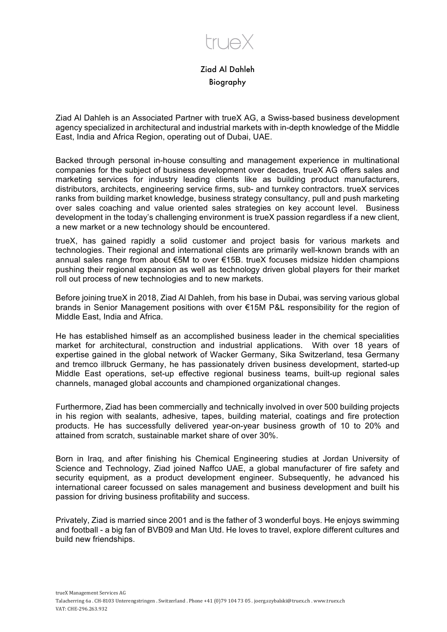$\mathsf{H} \mathsf{D} \mathsf{X}$ 

## Ziad Al Dahleh Biography

Ziad Al Dahleh is an Associated Partner with trueX AG, a Swiss-based business development agency specialized in architectural and industrial markets with in-depth knowledge of the Middle East, India and Africa Region, operating out of Dubai, UAE.

Backed through personal in-house consulting and management experience in multinational companies for the subject of business development over decades, trueX AG offers sales and marketing services for industry leading clients like as building product manufacturers, distributors, architects, engineering service firms, sub- and turnkey contractors. trueX services ranks from building market knowledge, business strategy consultancy, pull and push marketing over sales coaching and value oriented sales strategies on key account level. Business development in the today's challenging environment is trueX passion regardless if a new client, a new market or a new technology should be encountered.

trueX, has gained rapidly a solid customer and project basis for various markets and technologies. Their regional and international clients are primarily well-known brands with an annual sales range from about €5M to over €15B. trueX focuses midsize hidden champions pushing their regional expansion as well as technology driven global players for their market roll out process of new technologies and to new markets.

Before joining trueX in 2018, Ziad Al Dahleh, from his base in Dubai, was serving various global brands in Senior Management positions with over €15M P&L responsibility for the region of Middle East, India and Africa.

He has established himself as an accomplished business leader in the chemical specialities market for architectural, construction and industrial applications. With over 18 years of expertise gained in the global network of Wacker Germany, Sika Switzerland, tesa Germany and tremco illbruck Germany, he has passionately driven business development, started-up Middle East operations, set-up effective regional business teams, built-up regional sales channels, managed global accounts and championed organizational changes.

Furthermore, Ziad has been commercially and technically involved in over 500 building projects in his region with sealants, adhesive, tapes, building material, coatings and fire protection products. He has successfully delivered year-on-year business growth of 10 to 20% and attained from scratch, sustainable market share of over 30%.

Born in Iraq, and after finishing his Chemical Engineering studies at Jordan University of Science and Technology, Ziad joined Naffco UAE, a global manufacturer of fire safety and security equipment, as a product development engineer. Subsequently, he advanced his international career focussed on sales management and business development and built his passion for driving business profitability and success.

Privately, Ziad is married since 2001 and is the father of 3 wonderful boys. He enjoys swimming and football - a big fan of BVB09 and Man Utd. He loves to travel, explore different cultures and build new friendships.